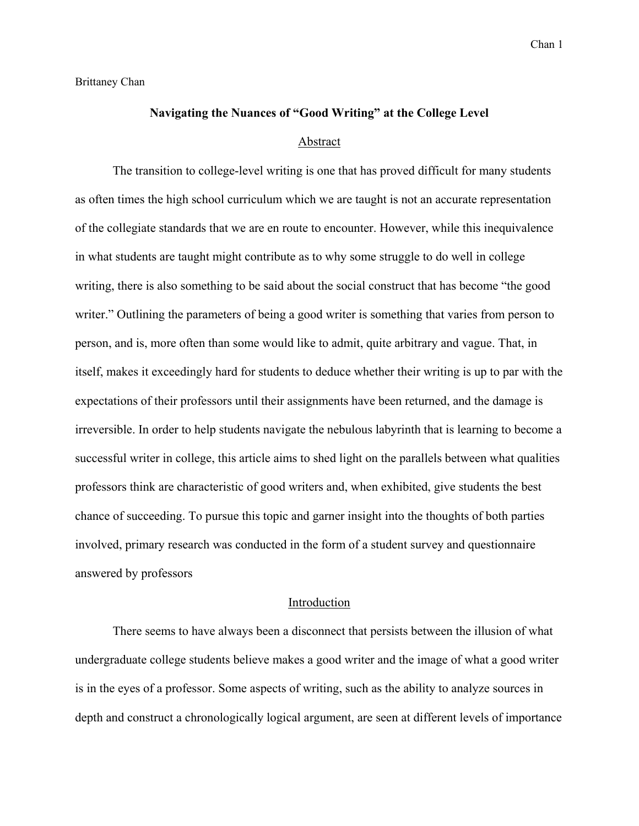Brittaney Chan

# **Navigating the Nuances of "Good Writing" at the College Level**

#### Abstract

The transition to college-level writing is one that has proved difficult for many students as often times the high school curriculum which we are taught is not an accurate representation of the collegiate standards that we are en route to encounter. However, while this inequivalence in what students are taught might contribute as to why some struggle to do well in college writing, there is also something to be said about the social construct that has become "the good writer." Outlining the parameters of being a good writer is something that varies from person to person, and is, more often than some would like to admit, quite arbitrary and vague. That, in itself, makes it exceedingly hard for students to deduce whether their writing is up to par with the expectations of their professors until their assignments have been returned, and the damage is irreversible. In order to help students navigate the nebulous labyrinth that is learning to become a successful writer in college, this article aims to shed light on the parallels between what qualities professors think are characteristic of good writers and, when exhibited, give students the best chance of succeeding. To pursue this topic and garner insight into the thoughts of both parties involved, primary research was conducted in the form of a student survey and questionnaire answered by professors

## Introduction

There seems to have always been a disconnect that persists between the illusion of what undergraduate college students believe makes a good writer and the image of what a good writer is in the eyes of a professor. Some aspects of writing, such as the ability to analyze sources in depth and construct a chronologically logical argument, are seen at different levels of importance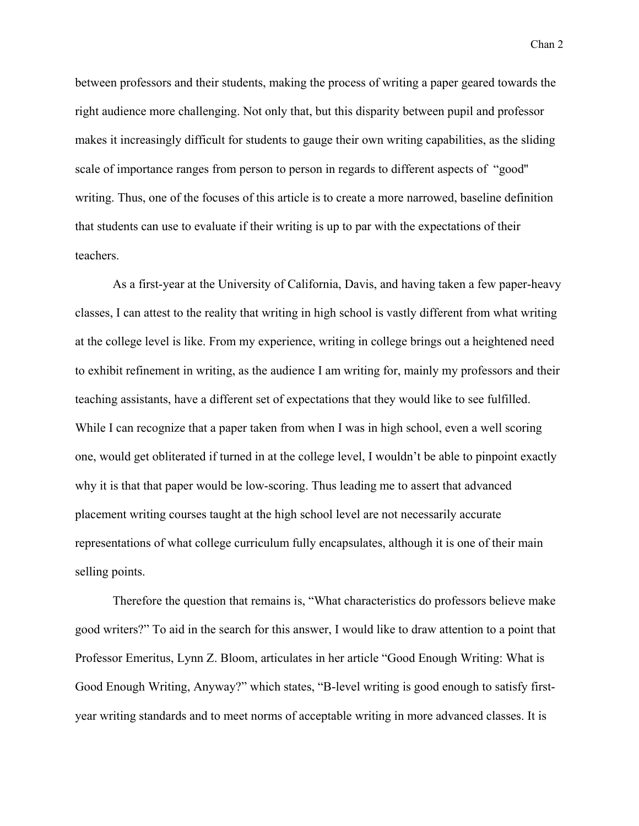between professors and their students, making the process of writing a paper geared towards the right audience more challenging. Not only that, but this disparity between pupil and professor makes it increasingly difficult for students to gauge their own writing capabilities, as the sliding scale of importance ranges from person to person in regards to different aspects of "good'' writing. Thus, one of the focuses of this article is to create a more narrowed, baseline definition that students can use to evaluate if their writing is up to par with the expectations of their teachers.

As a first-year at the University of California, Davis, and having taken a few paper-heavy classes, I can attest to the reality that writing in high school is vastly different from what writing at the college level is like. From my experience, writing in college brings out a heightened need to exhibit refinement in writing, as the audience I am writing for, mainly my professors and their teaching assistants, have a different set of expectations that they would like to see fulfilled. While I can recognize that a paper taken from when I was in high school, even a well scoring one, would get obliterated if turned in at the college level, I wouldn't be able to pinpoint exactly why it is that that paper would be low-scoring. Thus leading me to assert that advanced placement writing courses taught at the high school level are not necessarily accurate representations of what college curriculum fully encapsulates, although it is one of their main selling points.

Therefore the question that remains is, "What characteristics do professors believe make good writers?" To aid in the search for this answer, I would like to draw attention to a point that Professor Emeritus, Lynn Z. Bloom, articulates in her article "Good Enough Writing: What is Good Enough Writing, Anyway?" which states, "B-level writing is good enough to satisfy firstyear writing standards and to meet norms of acceptable writing in more advanced classes. It is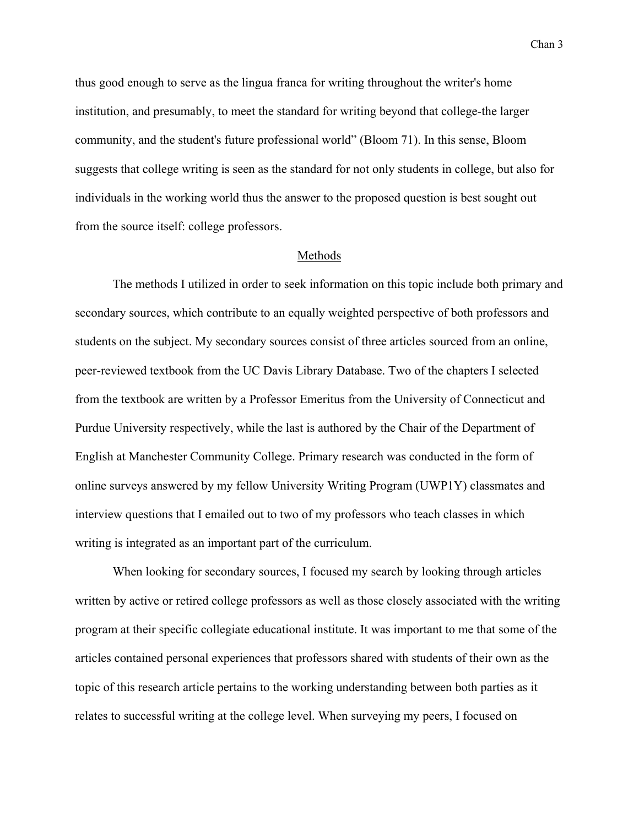thus good enough to serve as the lingua franca for writing throughout the writer's home institution, and presumably, to meet the standard for writing beyond that college-the larger community, and the student's future professional world" (Bloom 71). In this sense, Bloom suggests that college writing is seen as the standard for not only students in college, but also for individuals in the working world thus the answer to the proposed question is best sought out from the source itself: college professors.

#### Methods

The methods I utilized in order to seek information on this topic include both primary and secondary sources, which contribute to an equally weighted perspective of both professors and students on the subject. My secondary sources consist of three articles sourced from an online, peer-reviewed textbook from the UC Davis Library Database. Two of the chapters I selected from the textbook are written by a Professor Emeritus from the University of Connecticut and Purdue University respectively, while the last is authored by the Chair of the Department of English at Manchester Community College. Primary research was conducted in the form of online surveys answered by my fellow University Writing Program (UWP1Y) classmates and interview questions that I emailed out to two of my professors who teach classes in which writing is integrated as an important part of the curriculum.

When looking for secondary sources, I focused my search by looking through articles written by active or retired college professors as well as those closely associated with the writing program at their specific collegiate educational institute. It was important to me that some of the articles contained personal experiences that professors shared with students of their own as the topic of this research article pertains to the working understanding between both parties as it relates to successful writing at the college level. When surveying my peers, I focused on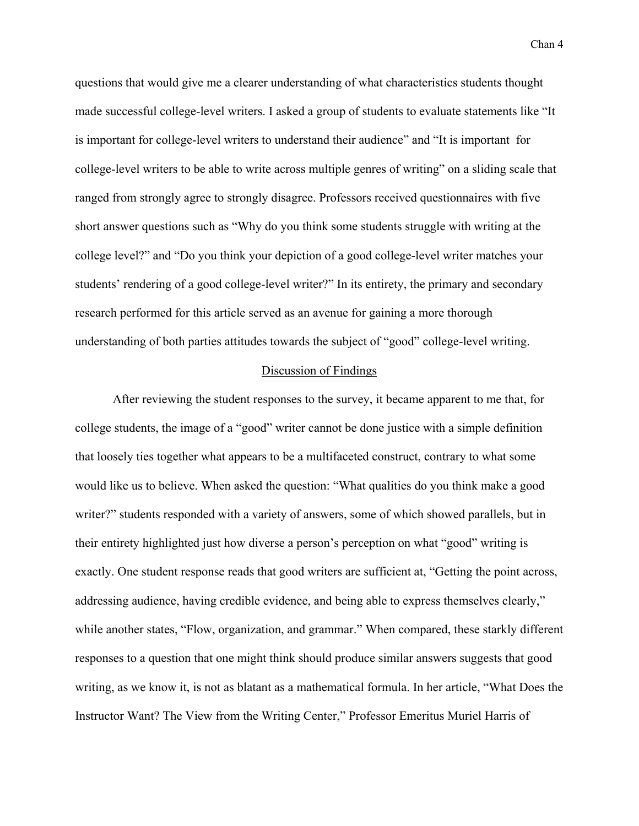questions that would give me a clearer understanding of what characteristics students thought made successful college-level writers. I asked a group of students to evaluate statements like "It is important for college-level writers to understand their audience" and "It is important for college-level writers to be able to write across multiple genres of writing" on a sliding scale that ranged from strongly agree to strongly disagree. Professors received questionnaires with five short answer questions such as "Why do you think some students struggle with writing at the college level?" and "Do you think your depiction of a good college-level writer matches your students' rendering of a good college-level writer?" In its entirety, the primary and secondary research performed for this article served as an avenue for gaining a more thorough understanding of both parties attitudes towards the subject of "good" college-level writing.

### Discussion of Findings

After reviewing the student responses to the survey, it became apparent to me that, for college students, the image of a "good" writer cannot be done justice with a simple definition that loosely ties together what appears to be a multifaceted construct, contrary to what some would like us to believe. When asked the question: "What qualities do you think make a good writer?" students responded with a variety of answers, some of which showed parallels, but in their entirety highlighted just how diverse a person's perception on what "good" writing is exactly. One student response reads that good writers are sufficient at, "Getting the point across, addressing audience, having credible evidence, and being able to express themselves clearly," while another states, "Flow, organization, and grammar." When compared, these starkly different responses to a question that one might think should produce similar answers suggests that good writing, as we know it, is not as blatant as a mathematical formula. In her article, "What Does the Instructor Want? The View from the Writing Center," Professor Emeritus Muriel Harris of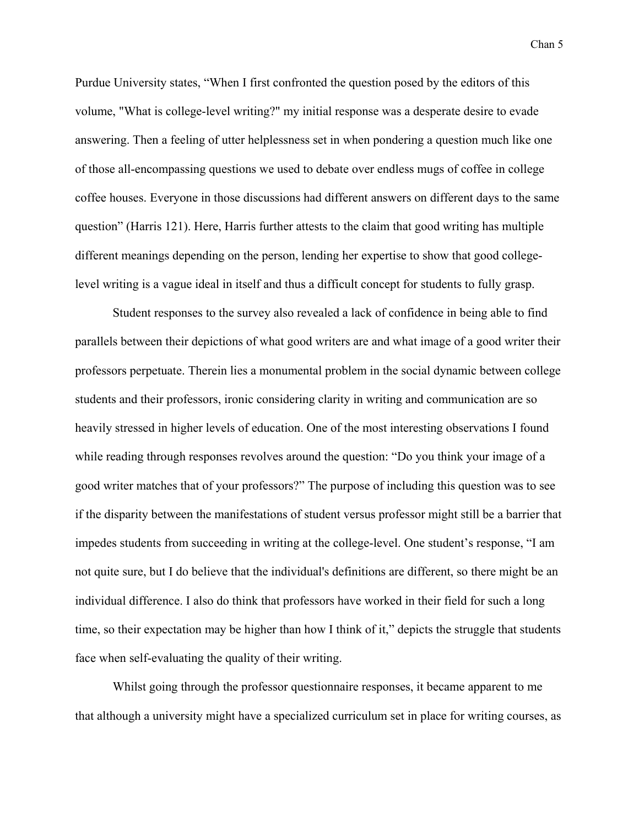Purdue University states, "When I first confronted the question posed by the editors of this volume, "What is college-level writing?" my initial response was a desperate desire to evade answering. Then a feeling of utter helplessness set in when pondering a question much like one of those all-encompassing questions we used to debate over endless mugs of coffee in college coffee houses. Everyone in those discussions had different answers on different days to the same question" (Harris 121). Here, Harris further attests to the claim that good writing has multiple different meanings depending on the person, lending her expertise to show that good collegelevel writing is a vague ideal in itself and thus a difficult concept for students to fully grasp.

Student responses to the survey also revealed a lack of confidence in being able to find parallels between their depictions of what good writers are and what image of a good writer their professors perpetuate. Therein lies a monumental problem in the social dynamic between college students and their professors, ironic considering clarity in writing and communication are so heavily stressed in higher levels of education. One of the most interesting observations I found while reading through responses revolves around the question: "Do you think your image of a good writer matches that of your professors?" The purpose of including this question was to see if the disparity between the manifestations of student versus professor might still be a barrier that impedes students from succeeding in writing at the college-level. One student's response, "I am not quite sure, but I do believe that the individual's definitions are different, so there might be an individual difference. I also do think that professors have worked in their field for such a long time, so their expectation may be higher than how I think of it," depicts the struggle that students face when self-evaluating the quality of their writing.

Whilst going through the professor questionnaire responses, it became apparent to me that although a university might have a specialized curriculum set in place for writing courses, as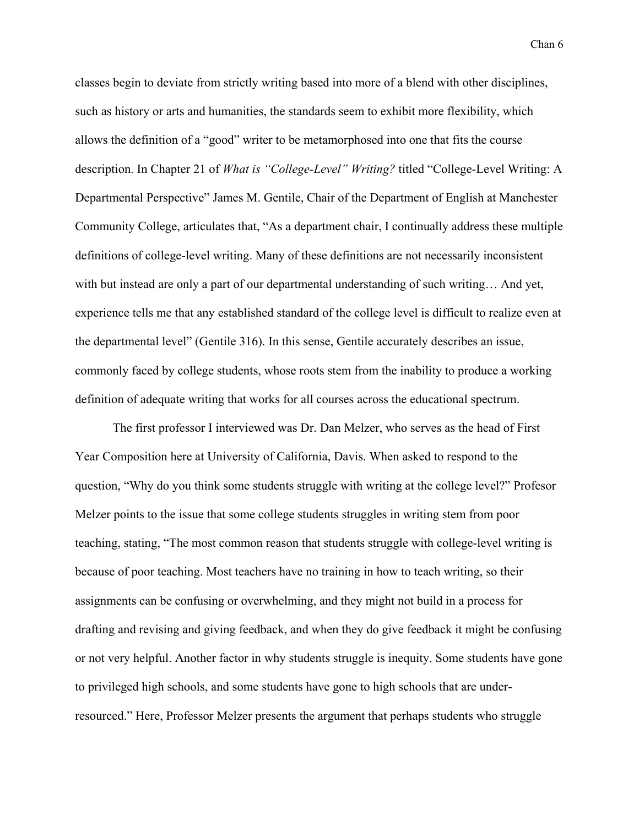classes begin to deviate from strictly writing based into more of a blend with other disciplines, such as history or arts and humanities, the standards seem to exhibit more flexibility, which allows the definition of a "good" writer to be metamorphosed into one that fits the course description. In Chapter 21 of *What is "College-Level" Writing?* titled "College-Level Writing: A Departmental Perspective" James M. Gentile, Chair of the Department of English at Manchester Community College, articulates that, "As a department chair, I continually address these multiple definitions of college-level writing. Many of these definitions are not necessarily inconsistent with but instead are only a part of our departmental understanding of such writing… And yet, experience tells me that any established standard of the college level is difficult to realize even at the departmental level" (Gentile 316). In this sense, Gentile accurately describes an issue, commonly faced by college students, whose roots stem from the inability to produce a working definition of adequate writing that works for all courses across the educational spectrum.

The first professor I interviewed was Dr. Dan Melzer, who serves as the head of First Year Composition here at University of California, Davis. When asked to respond to the question, "Why do you think some students struggle with writing at the college level?" Profesor Melzer points to the issue that some college students struggles in writing stem from poor teaching, stating, "The most common reason that students struggle with college-level writing is because of poor teaching. Most teachers have no training in how to teach writing, so their assignments can be confusing or overwhelming, and they might not build in a process for drafting and revising and giving feedback, and when they do give feedback it might be confusing or not very helpful. Another factor in why students struggle is inequity. Some students have gone to privileged high schools, and some students have gone to high schools that are underresourced." Here, Professor Melzer presents the argument that perhaps students who struggle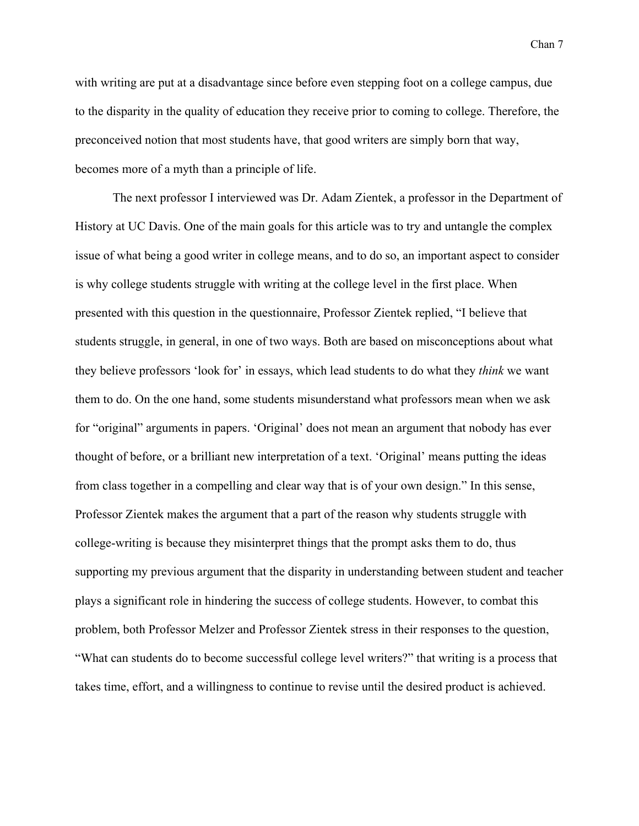with writing are put at a disadvantage since before even stepping foot on a college campus, due to the disparity in the quality of education they receive prior to coming to college. Therefore, the preconceived notion that most students have, that good writers are simply born that way, becomes more of a myth than a principle of life.

The next professor I interviewed was Dr. Adam Zientek, a professor in the Department of History at UC Davis. One of the main goals for this article was to try and untangle the complex issue of what being a good writer in college means, and to do so, an important aspect to consider is why college students struggle with writing at the college level in the first place. When presented with this question in the questionnaire, Professor Zientek replied, "I believe that students struggle, in general, in one of two ways. Both are based on misconceptions about what they believe professors 'look for' in essays, which lead students to do what they *think* we want them to do. On the one hand, some students misunderstand what professors mean when we ask for "original" arguments in papers. 'Original' does not mean an argument that nobody has ever thought of before, or a brilliant new interpretation of a text. 'Original' means putting the ideas from class together in a compelling and clear way that is of your own design." In this sense, Professor Zientek makes the argument that a part of the reason why students struggle with college-writing is because they misinterpret things that the prompt asks them to do, thus supporting my previous argument that the disparity in understanding between student and teacher plays a significant role in hindering the success of college students. However, to combat this problem, both Professor Melzer and Professor Zientek stress in their responses to the question, "What can students do to become successful college level writers?" that writing is a process that takes time, effort, and a willingness to continue to revise until the desired product is achieved.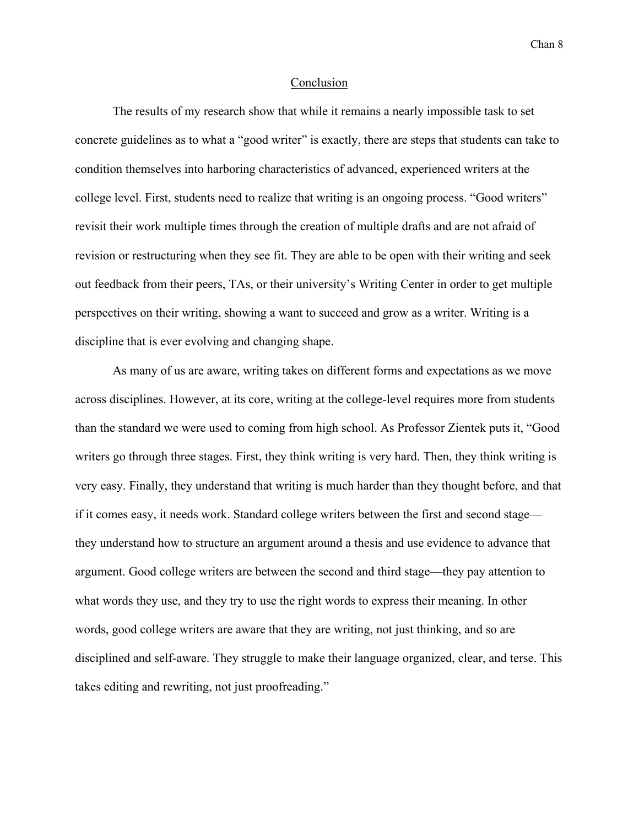## Conclusion

The results of my research show that while it remains a nearly impossible task to set concrete guidelines as to what a "good writer" is exactly, there are steps that students can take to condition themselves into harboring characteristics of advanced, experienced writers at the college level. First, students need to realize that writing is an ongoing process. "Good writers" revisit their work multiple times through the creation of multiple drafts and are not afraid of revision or restructuring when they see fit. They are able to be open with their writing and seek out feedback from their peers, TAs, or their university's Writing Center in order to get multiple perspectives on their writing, showing a want to succeed and grow as a writer. Writing is a discipline that is ever evolving and changing shape.

As many of us are aware, writing takes on different forms and expectations as we move across disciplines. However, at its core, writing at the college-level requires more from students than the standard we were used to coming from high school. As Professor Zientek puts it, "Good writers go through three stages. First, they think writing is very hard. Then, they think writing is very easy. Finally, they understand that writing is much harder than they thought before, and that if it comes easy, it needs work. Standard college writers between the first and second stage they understand how to structure an argument around a thesis and use evidence to advance that argument. Good college writers are between the second and third stage—they pay attention to what words they use, and they try to use the right words to express their meaning. In other words, good college writers are aware that they are writing, not just thinking, and so are disciplined and self-aware. They struggle to make their language organized, clear, and terse. This takes editing and rewriting, not just proofreading."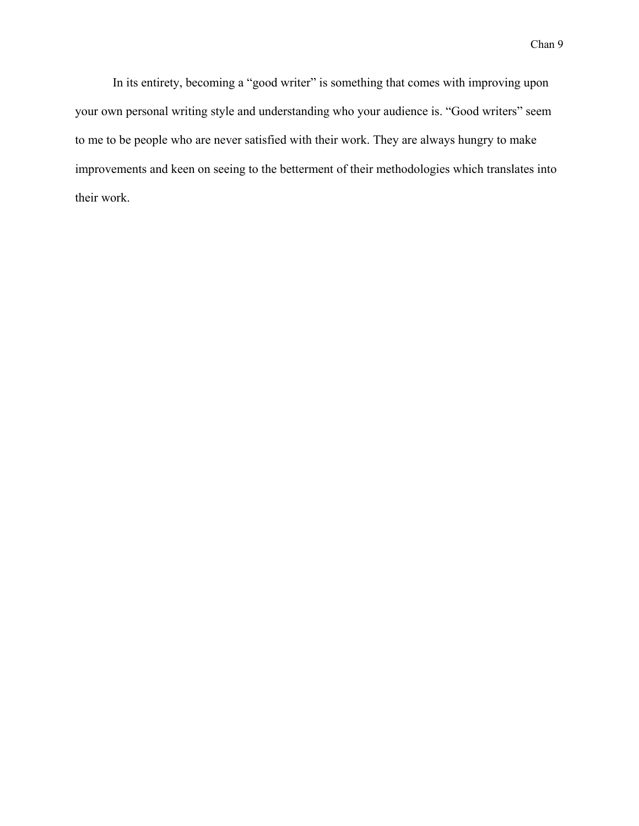In its entirety, becoming a "good writer" is something that comes with improving upon your own personal writing style and understanding who your audience is. "Good writers" seem to me to be people who are never satisfied with their work. They are always hungry to make improvements and keen on seeing to the betterment of their methodologies which translates into their work.